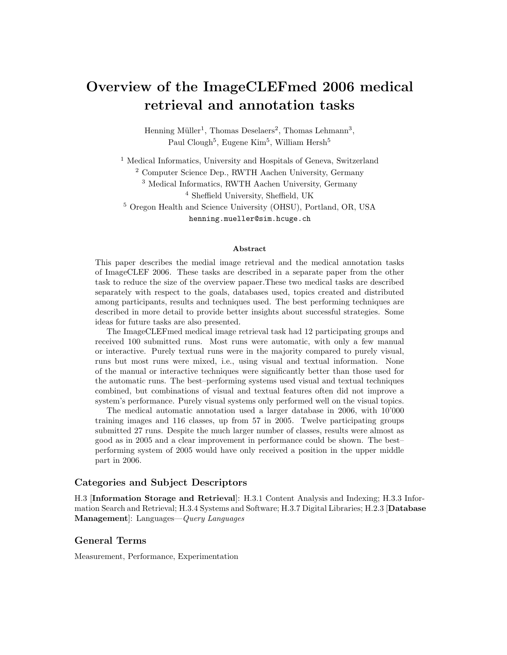# Overview of the ImageCLEFmed 2006 medical retrieval and annotation tasks

Henning Müller<sup>1</sup>, Thomas Deselaers<sup>2</sup>, Thomas Lehmann<sup>3</sup>, Paul Clough<sup>5</sup>, Eugene Kim<sup>5</sup>, William Hersh<sup>5</sup>

<sup>1</sup> Medical Informatics, University and Hospitals of Geneva, Switzerland

<sup>2</sup> Computer Science Dep., RWTH Aachen University, Germany

<sup>3</sup> Medical Informatics, RWTH Aachen University, Germany

<sup>4</sup> Sheffield University, Sheffield, UK

<sup>5</sup> Oregon Health and Science University (OHSU), Portland, OR, USA

henning.mueller@sim.hcuge.ch

#### Abstract

This paper describes the medial image retrieval and the medical annotation tasks of ImageCLEF 2006. These tasks are described in a separate paper from the other task to reduce the size of the overview papaer.These two medical tasks are described separately with respect to the goals, databases used, topics created and distributed among participants, results and techniques used. The best performing techniques are described in more detail to provide better insights about successful strategies. Some ideas for future tasks are also presented.

The ImageCLEFmed medical image retrieval task had 12 participating groups and received 100 submitted runs. Most runs were automatic, with only a few manual or interactive. Purely textual runs were in the majority compared to purely visual, runs but most runs were mixed, i.e., using visual and textual information. None of the manual or interactive techniques were significantly better than those used for the automatic runs. The best–performing systems used visual and textual techniques combined, but combinations of visual and textual features often did not improve a system's performance. Purely visual systems only performed well on the visual topics.

The medical automatic annotation used a larger database in 2006, with 10'000 training images and 116 classes, up from 57 in 2005. Twelve participating groups submitted 27 runs. Despite the much larger number of classes, results were almost as good as in 2005 and a clear improvement in performance could be shown. The best– performing system of 2005 would have only received a position in the upper middle part in 2006.

#### Categories and Subject Descriptors

H.3 [Information Storage and Retrieval]: H.3.1 Content Analysis and Indexing; H.3.3 Information Search and Retrieval; H.3.4 Systems and Software; H.3.7 Digital Libraries; H.2.3 [Database Management]: Languages—*Query Languages* 

### General Terms

Measurement, Performance, Experimentation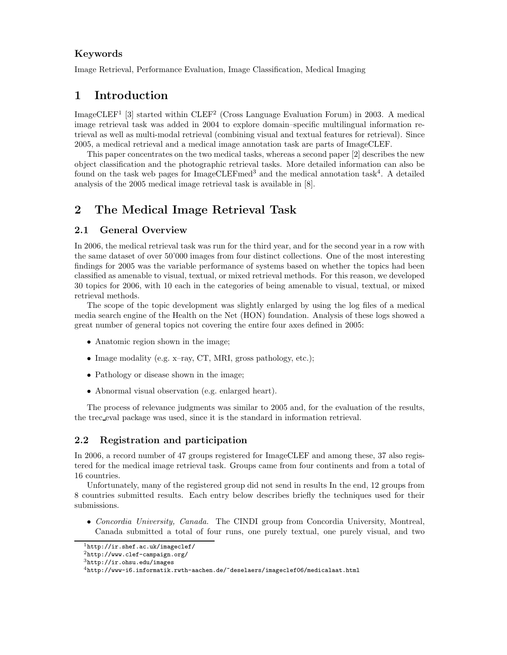### Keywords

Image Retrieval, Performance Evaluation, Image Classification, Medical Imaging

# 1 Introduction

ImageCLEF<sup>1</sup> [3] started within  $CLEF<sup>2</sup>$  (Cross Language Evaluation Forum) in 2003. A medical image retrieval task was added in 2004 to explore domain–specific multilingual information retrieval as well as multi-modal retrieval (combining visual and textual features for retrieval). Since 2005, a medical retrieval and a medical image annotation task are parts of ImageCLEF.

This paper concentrates on the two medical tasks, whereas a second paper [2] describes the new object classification and the photographic retrieval tasks. More detailed information can also be found on the task web pages for ImageCLEFmed<sup>3</sup> and the medical annotation task<sup>4</sup>. A detailed analysis of the 2005 medical image retrieval task is available in [8].

# 2 The Medical Image Retrieval Task

### 2.1 General Overview

In 2006, the medical retrieval task was run for the third year, and for the second year in a row with the same dataset of over 50'000 images from four distinct collections. One of the most interesting findings for 2005 was the variable performance of systems based on whether the topics had been classified as amenable to visual, textual, or mixed retrieval methods. For this reason, we developed 30 topics for 2006, with 10 each in the categories of being amenable to visual, textual, or mixed retrieval methods.

The scope of the topic development was slightly enlarged by using the log files of a medical media search engine of the Health on the Net (HON) foundation. Analysis of these logs showed a great number of general topics not covering the entire four axes defined in 2005:

- Anatomic region shown in the image;
- Image modality (e.g. x-ray, CT, MRI, gross pathology, etc.);
- Pathology or disease shown in the image:
- Abnormal visual observation (e.g. enlarged heart).

The process of relevance judgments was similar to 2005 and, for the evaluation of the results, the trec eval package was used, since it is the standard in information retrieval.

### 2.2 Registration and participation

In 2006, a record number of 47 groups registered for ImageCLEF and among these, 37 also registered for the medical image retrieval task. Groups came from four continents and from a total of 16 countries.

Unfortunately, many of the registered group did not send in results In the end, 12 groups from 8 countries submitted results. Each entry below describes briefly the techniques used for their submissions.

• Concordia University, Canada. The CINDI group from Concordia University, Montreal, Canada submitted a total of four runs, one purely textual, one purely visual, and two

 $\frac{1}{1}$ http://ir.shef.ac.uk/imageclef/

<sup>2</sup>http://www.clef-campaign.org/

 $3$ http://ir.ohsu.edu/images

<sup>4</sup>http://www-i6.informatik.rwth-aachen.de/~deselaers/imageclef06/medicalaat.html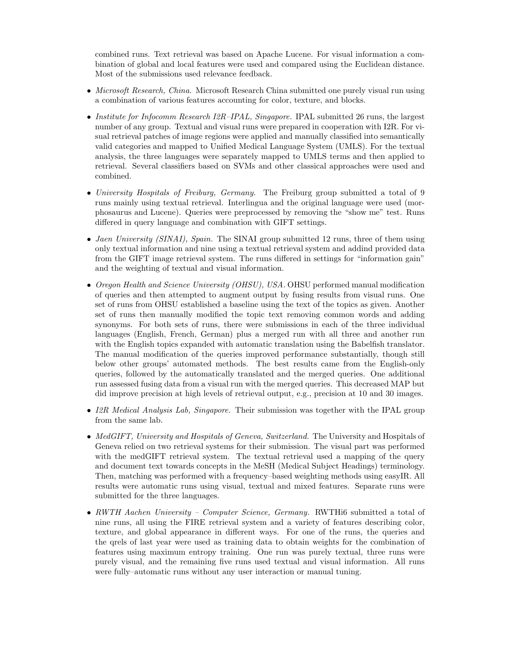combined runs. Text retrieval was based on Apache Lucene. For visual information a combination of global and local features were used and compared using the Euclidean distance. Most of the submissions used relevance feedback.

- Microsoft Research, China. Microsoft Research China submitted one purely visual run using a combination of various features accounting for color, texture, and blocks.
- Institute for Infocomm Research I2R–IPAL, Singapore. IPAL submitted 26 runs, the largest number of any group. Textual and visual runs were prepared in cooperation with I2R. For visual retrieval patches of image regions were applied and manually classified into semantically valid categories and mapped to Unified Medical Language System (UMLS). For the textual analysis, the three languages were separately mapped to UMLS terms and then applied to retrieval. Several classifiers based on SVMs and other classical approaches were used and combined.
- University Hospitals of Freiburg, Germany. The Freiburg group submitted a total of 9 runs mainly using textual retrieval. Interlingua and the original language were used (morphosaurus and Lucene). Queries were preprocessed by removing the "show me" test. Runs differed in query language and combination with GIFT settings.
- Jaen University (SINAI), Spain. The SINAI group submitted 12 runs, three of them using only textual information and nine using a textual retrieval system and addind provided data from the GIFT image retrieval system. The runs differed in settings for "information gain" and the weighting of textual and visual information.
- Oregon Health and Science University (OHSU), USA. OHSU performed manual modification of queries and then attempted to augment output by fusing results from visual runs. One set of runs from OHSU established a baseline using the text of the topics as given. Another set of runs then manually modified the topic text removing common words and adding synonyms. For both sets of runs, there were submissions in each of the three individual languages (English, French, German) plus a merged run with all three and another run with the English topics expanded with automatic translation using the Babelfish translator. The manual modification of the queries improved performance substantially, though still below other groups' automated methods. The best results came from the English-only queries, followed by the automatically translated and the merged queries. One additional run assessed fusing data from a visual run with the merged queries. This decreased MAP but did improve precision at high levels of retrieval output, e.g., precision at 10 and 30 images.
- I2R Medical Analysis Lab, Singapore. Their submission was together with the IPAL group from the same lab.
- MedGIFT, University and Hospitals of Geneva, Switzerland. The University and Hospitals of Geneva relied on two retrieval systems for their submission. The visual part was performed with the medGIFT retrieval system. The textual retrieval used a mapping of the query and document text towards concepts in the MeSH (Medical Subject Headings) terminology. Then, matching was performed with a frequency–based weighting methods using easyIR. All results were automatic runs using visual, textual and mixed features. Separate runs were submitted for the three languages.
- RWTH Aachen University Computer Science, Germany. RWTHi6 submitted a total of nine runs, all using the FIRE retrieval system and a variety of features describing color, texture, and global appearance in different ways. For one of the runs, the queries and the qrels of last year were used as training data to obtain weights for the combination of features using maximum entropy training. One run was purely textual, three runs were purely visual, and the remaining five runs used textual and visual information. All runs were fully–automatic runs without any user interaction or manual tuning.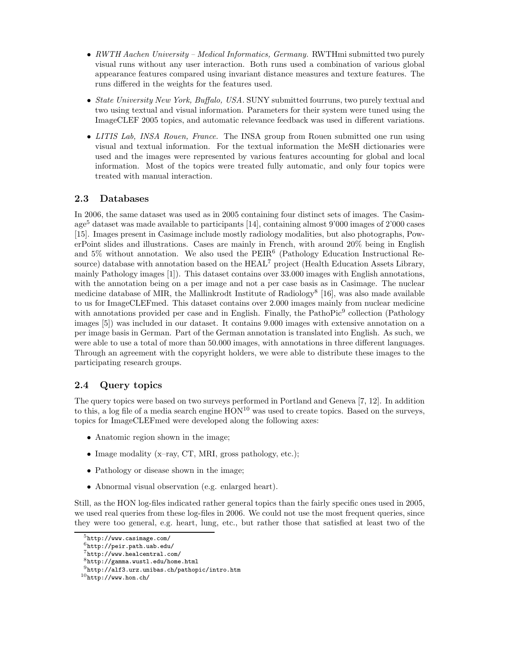- RWTH Aachen University Medical Informatics, Germany. RWTHmi submitted two purely visual runs without any user interaction. Both runs used a combination of various global appearance features compared using invariant distance measures and texture features. The runs differed in the weights for the features used.
- State University New York, Buffalo, USA. SUNY submitted fourruns, two purely textual and two using textual and visual information. Parameters for their system were tuned using the ImageCLEF 2005 topics, and automatic relevance feedback was used in different variations.
- LITIS Lab, INSA Rouen, France. The INSA group from Rouen submitted one run using visual and textual information. For the textual information the MeSH dictionaries were used and the images were represented by various features accounting for global and local information. Most of the topics were treated fully automatic, and only four topics were treated with manual interaction.

### 2.3 Databases

In 2006, the same dataset was used as in 2005 containing four distinct sets of images. The Casimage<sup>5</sup> dataset was made available to participants [14], containing almost 9'000 images of 2'000 cases [15]. Images present in Casimage include mostly radiology modalities, but also photographs, PowerPoint slides and illustrations. Cases are mainly in French, with around 20% being in English and 5% without annotation. We also used the PEIR<sup>6</sup> (Pathology Education Instructional Resource) database with annotation based on the  $HEAL<sup>7</sup>$  project (Health Education Assets Library, mainly Pathology images [1]). This dataset contains over 33.000 images with English annotations, with the annotation being on a per image and not a per case basis as in Casimage. The nuclear medicine database of MIR, the Mallinkrodt Institute of Radiology<sup>8</sup> [16], was also made available to us for ImageCLEFmed. This dataset contains over 2.000 images mainly from nuclear medicine with annotations provided per case and in English. Finally, the PathoPic<sup>9</sup> collection (Pathology images [5]) was included in our dataset. It contains 9.000 images with extensive annotation on a per image basis in German. Part of the German annotation is translated into English. As such, we were able to use a total of more than 50.000 images, with annotations in three different languages. Through an agreement with the copyright holders, we were able to distribute these images to the participating research groups.

# 2.4 Query topics

The query topics were based on two surveys performed in Portland and Geneva [7, 12]. In addition to this, a log file of a media search engine  $HON^{10}$  was used to create topics. Based on the surveys, topics for ImageCLEFmed were developed along the following axes:

- Anatomic region shown in the image;
- Image modality (x-ray, CT, MRI, gross pathology, etc.);
- Pathology or disease shown in the image:
- Abnormal visual observation (e.g. enlarged heart).

Still, as the HON log-files indicated rather general topics than the fairly specific ones used in 2005, we used real queries from these log-files in 2006. We could not use the most frequent queries, since they were too general, e.g. heart, lung, etc., but rather those that satisfied at least two of the

 $5$ http://www.casimage.com/

 $6$ http://peir.path.uab.edu/

<sup>7</sup>http://www.healcentral.com/

<sup>8</sup>http://gamma.wustl.edu/home.html

<sup>9</sup>http://alf3.urz.unibas.ch/pathopic/intro.htm

 $10$ http://www.hon.ch/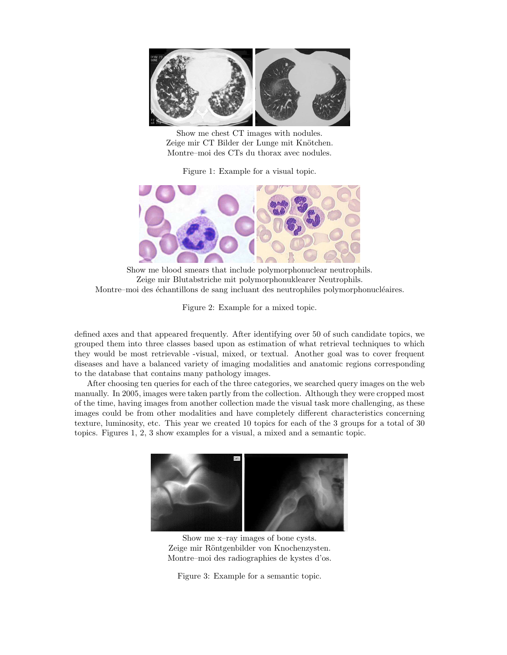

Show me chest CT images with nodules. Zeige mir CT Bilder der Lunge mit Knötchen. Montre–moi des CTs du thorax avec nodules.

Figure 1: Example for a visual topic.



Show me blood smears that include polymorphonuclear neutrophils. Zeige mir Blutabstriche mit polymorphonuklearer Neutrophils. Montre–moi des échantillons de sang incluant des neutrophiles polymorphonucléaires.

Figure 2: Example for a mixed topic.

defined axes and that appeared frequently. After identifying over 50 of such candidate topics, we grouped them into three classes based upon as estimation of what retrieval techniques to which they would be most retrievable -visual, mixed, or textual. Another goal was to cover frequent diseases and have a balanced variety of imaging modalities and anatomic regions corresponding to the database that contains many pathology images.

After choosing ten queries for each of the three categories, we searched query images on the web manually. In 2005, images were taken partly from the collection. Although they were cropped most of the time, having images from another collection made the visual task more challenging, as these images could be from other modalities and have completely different characteristics concerning texture, luminosity, etc. This year we created 10 topics for each of the 3 groups for a total of 30 topics. Figures 1, 2, 3 show examples for a visual, a mixed and a semantic topic.



Show me x–ray images of bone cysts. Zeige mir Röntgenbilder von Knochenzysten. Montre–moi des radiographies de kystes d'os.

Figure 3: Example for a semantic topic.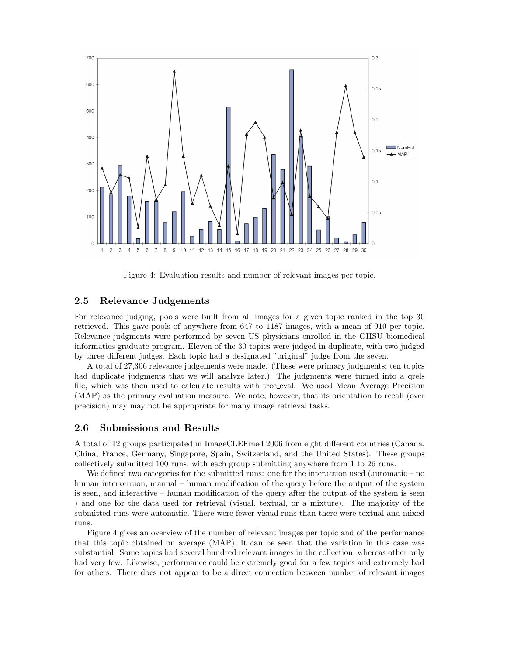

Figure 4: Evaluation results and number of relevant images per topic.

### 2.5 Relevance Judgements

For relevance judging, pools were built from all images for a given topic ranked in the top 30 retrieved. This gave pools of anywhere from 647 to 1187 images, with a mean of 910 per topic. Relevance judgments were performed by seven US physicians enrolled in the OHSU biomedical informatics graduate program. Eleven of the 30 topics were judged in duplicate, with two judged by three different judges. Each topic had a designated "original" judge from the seven.

A total of 27,306 relevance judgements were made. (These were primary judgments; ten topics had duplicate judgments that we will analyze later.) The judgments were turned into a qrels file, which was then used to calculate results with trec eval. We used Mean Average Precision (MAP) as the primary evaluation measure. We note, however, that its orientation to recall (over precision) may may not be appropriate for many image retrieval tasks.

### 2.6 Submissions and Results

A total of 12 groups participated in ImageCLEFmed 2006 from eight different countries (Canada, China, France, Germany, Singapore, Spain, Switzerland, and the United States). These groups collectively submitted 100 runs, with each group submitting anywhere from 1 to 26 runs.

We defined two categories for the submitted runs: one for the interaction used (automatic – no human intervention, manual – human modification of the query before the output of the system is seen, and interactive – human modification of the query after the output of the system is seen ) and one for the data used for retrieval (visual, textual, or a mixture). The majority of the submitted runs were automatic. There were fewer visual runs than there were textual and mixed runs.

Figure 4 gives an overview of the number of relevant images per topic and of the performance that this topic obtained on average (MAP). It can be seen that the variation in this case was substantial. Some topics had several hundred relevant images in the collection, whereas other only had very few. Likewise, performance could be extremely good for a few topics and extremely bad for others. There does not appear to be a direct connection between number of relevant images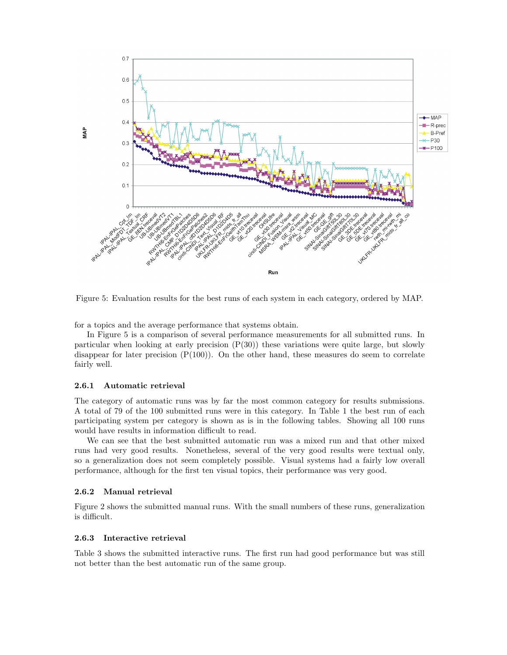

Figure 5: Evaluation results for the best runs of each system in each category, ordered by MAP.

for a topics and the average performance that systems obtain.

In Figure 5 is a comparison of several performance measurements for all submitted runs. In particular when looking at early precision  $(P(30))$  these variations were quite large, but slowly disappear for later precision  $(P(100))$ . On the other hand, these measures do seem to correlate fairly well.

#### 2.6.1 Automatic retrieval

The category of automatic runs was by far the most common category for results submissions. A total of 79 of the 100 submitted runs were in this category. In Table 1 the best run of each participating system per category is shown as is in the following tables. Showing all 100 runs would have results in information difficult to read.

We can see that the best submitted automatic run was a mixed run and that other mixed runs had very good results. Nonetheless, several of the very good results were textual only, so a generalization does not seem completely possible. Visual systems had a fairly low overall performance, although for the first ten visual topics, their performance was very good.

#### 2.6.2 Manual retrieval

Figure 2 shows the submitted manual runs. With the small numbers of these runs, generalization is difficult.

#### 2.6.3 Interactive retrieval

Table 3 shows the submitted interactive runs. The first run had good performance but was still not better than the best automatic run of the same group.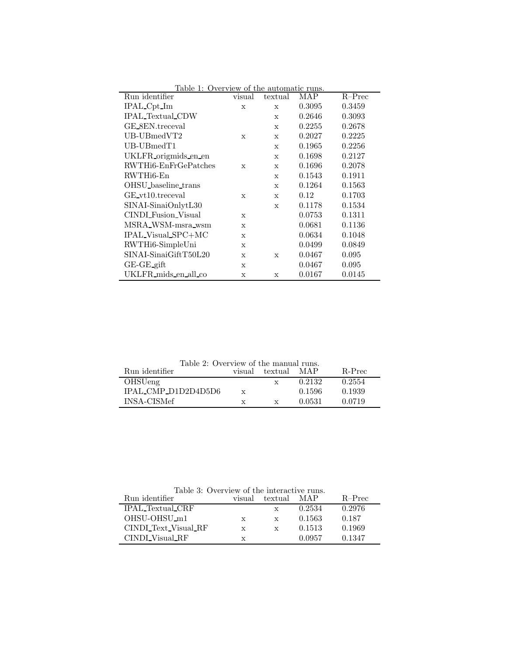| Table 1: Overview of the automatic runs. |             |             |        |          |  |
|------------------------------------------|-------------|-------------|--------|----------|--|
| Run identifier                           | visual      | textual     | MAP    | $R-Prec$ |  |
| IPAL_Cpt_Im                              | X           | X           | 0.3095 | 0.3459   |  |
| <b>IPAL_Textual_CDW</b>                  |             | X           | 0.2646 | 0.3093   |  |
| GE_8EN.treceval                          |             | $\mathbf x$ | 0.2255 | 0.2678   |  |
| $UB$ -UBmedVT2                           | $\mathbf x$ | X           | 0.2027 | 0.2225   |  |
| UB-UBmedT1                               |             | $\mathbf x$ | 0.1965 | 0.2256   |  |
| UKLFR origmids en en                     |             | $\mathbf x$ | 0.1698 | 0.2127   |  |
| RWTHi6-EnFrGePatches                     | $\mathbf x$ | $\mathbf x$ | 0.1696 | 0.2078   |  |
| RWTHi6-En                                |             | $\mathbf x$ | 0.1543 | 0.1911   |  |
| OHSU_baseline_trans                      |             | $\mathbf x$ | 0.1264 | 0.1563   |  |
| GE_vt10.treceval                         | X           | X           | 0.12   | 0.1703   |  |
| SINAI-SinaiOnlytL30                      |             | $\mathbf x$ | 0.1178 | 0.1534   |  |
| CINDL Fusion_Visual                      | X           |             | 0.0753 | 0.1311   |  |
| MSRA_WSM-msra_wsm                        | $\mathbf x$ |             | 0.0681 | 0.1136   |  |
| IPAL_Visual_SPC+MC                       | $\mathbf x$ |             | 0.0634 | 0.1048   |  |
| RWTHi6-SimpleUni                         | $\mathbf x$ |             | 0.0499 | 0.0849   |  |
| SINAI-SinaiGiftT50L20                    | $\mathbf x$ | $\mathbf x$ | 0.0467 | 0.095    |  |
| $GE-GE$ -gift                            | $\mathbf x$ |             | 0.0467 | 0.095    |  |
| UKLFR_mids_en_all_co                     | X           | X           | 0.0167 | 0.0145   |  |

Table 2: Overview of the manual runs.

| Run identifier      | visual       | textual | MAP    | R-Prec |
|---------------------|--------------|---------|--------|--------|
| OHSUeng             |              |         | 0.2132 | 0.2554 |
| IPAL_CMP_D1D2D4D5D6 | $\mathbf{x}$ |         | 0.1596 | 0.1939 |
| INSA-CISMef         | X            |         | 0.0531 | 0.0719 |
|                     |              |         |        |        |

Table 3: Overview of the interactive runs.

| Run identifier           | visual       | textual      | MAP    | $R-Prec$ |
|--------------------------|--------------|--------------|--------|----------|
| <b>IPAL</b> Textual CRF  |              | X            | 0.2534 | 0.2976   |
| OHSU-OHSU <sub>-m1</sub> | X            | $\mathbf{x}$ | 0.1563 | 0.187    |
| CINDLText_Visual_RF      | $\mathbf{x}$ | X            | 0.1513 | 0.1969   |
| CINDLVisual_RF           | X            |              | 0.0957 | 0.1347   |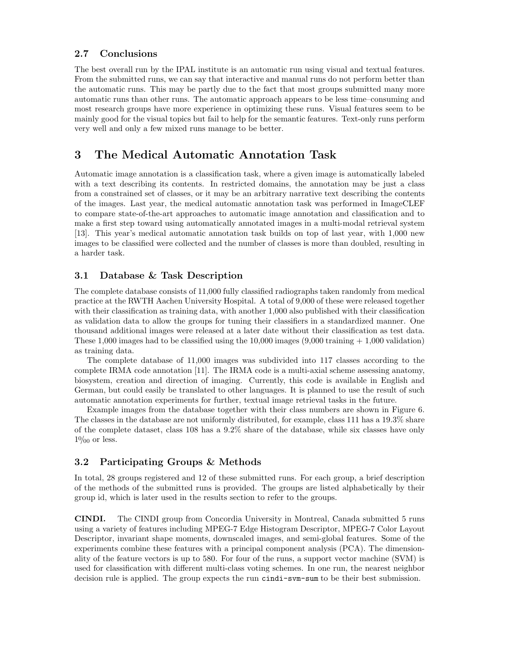### 2.7 Conclusions

The best overall run by the IPAL institute is an automatic run using visual and textual features. From the submitted runs, we can say that interactive and manual runs do not perform better than the automatic runs. This may be partly due to the fact that most groups submitted many more automatic runs than other runs. The automatic approach appears to be less time–consuming and most research groups have more experience in optimizing these runs. Visual features seem to be mainly good for the visual topics but fail to help for the semantic features. Text-only runs perform very well and only a few mixed runs manage to be better.

# 3 The Medical Automatic Annotation Task

Automatic image annotation is a classification task, where a given image is automatically labeled with a text describing its contents. In restricted domains, the annotation may be just a class from a constrained set of classes, or it may be an arbitrary narrative text describing the contents of the images. Last year, the medical automatic annotation task was performed in ImageCLEF to compare state-of-the-art approaches to automatic image annotation and classification and to make a first step toward using automatically annotated images in a multi-modal retrieval system [13]. This year's medical automatic annotation task builds on top of last year, with 1,000 new images to be classified were collected and the number of classes is more than doubled, resulting in a harder task.

# 3.1 Database & Task Description

The complete database consists of 11,000 fully classified radiographs taken randomly from medical practice at the RWTH Aachen University Hospital. A total of 9,000 of these were released together with their classification as training data, with another 1,000 also published with their classification as validation data to allow the groups for tuning their classifiers in a standardized manner. One thousand additional images were released at a later date without their classification as test data. These 1,000 images had to be classified using the  $10,000$  images  $(9,000 \text{ training} + 1,000 \text{ validation})$ as training data.

The complete database of 11,000 images was subdivided into 117 classes according to the complete IRMA code annotation [11]. The IRMA code is a multi-axial scheme assessing anatomy, biosystem, creation and direction of imaging. Currently, this code is available in English and German, but could easily be translated to other languages. It is planned to use the result of such automatic annotation experiments for further, textual image retrieval tasks in the future.

Example images from the database together with their class numbers are shown in Figure 6. The classes in the database are not uniformly distributed, for example, class 111 has a 19.3% share of the complete dataset, class 108 has a 9.2% share of the database, while six classes have only  $10/_{00}$  or less.

# 3.2 Participating Groups & Methods

In total, 28 groups registered and 12 of these submitted runs. For each group, a brief description of the methods of the submitted runs is provided. The groups are listed alphabetically by their group id, which is later used in the results section to refer to the groups.

CINDI. The CINDI group from Concordia University in Montreal, Canada submitted 5 runs using a variety of features including MPEG-7 Edge Histogram Descriptor, MPEG-7 Color Layout Descriptor, invariant shape moments, downscaled images, and semi-global features. Some of the experiments combine these features with a principal component analysis (PCA). The dimensionality of the feature vectors is up to 580. For four of the runs, a support vector machine (SVM) is used for classification with different multi-class voting schemes. In one run, the nearest neighbor decision rule is applied. The group expects the run cindi-svm-sum to be their best submission.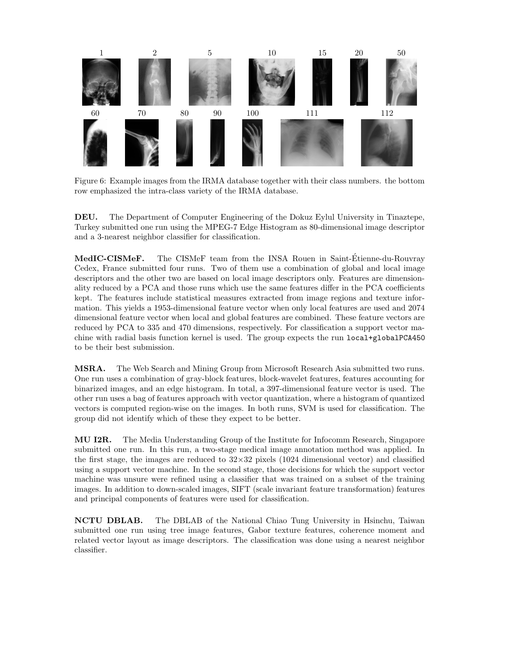

Figure 6: Example images from the IRMA database together with their class numbers. the bottom row emphasized the intra-class variety of the IRMA database.

DEU. The Department of Computer Engineering of the Dokuz Eylul University in Tinaztepe, Turkey submitted one run using the MPEG-7 Edge Histogram as 80-dimensional image descriptor and a 3-nearest neighbor classifier for classification.

MedIC-CISMeF. The CISMeF team from the INSA Rouen in Saint-Étienne-du-Rouvray Cedex, France submitted four runs. Two of them use a combination of global and local image descriptors and the other two are based on local image descriptors only. Features are dimensionality reduced by a PCA and those runs which use the same features differ in the PCA coefficients kept. The features include statistical measures extracted from image regions and texture information. This yields a 1953-dimensional feature vector when only local features are used and 2074 dimensional feature vector when local and global features are combined. These feature vectors are reduced by PCA to 335 and 470 dimensions, respectively. For classification a support vector machine with radial basis function kernel is used. The group expects the run local+globalPCA450 to be their best submission.

MSRA. The Web Search and Mining Group from Microsoft Research Asia submitted two runs. One run uses a combination of gray-block features, block-wavelet features, features accounting for binarized images, and an edge histogram. In total, a 397-dimensional feature vector is used. The other run uses a bag of features approach with vector quantization, where a histogram of quantized vectors is computed region-wise on the images. In both runs, SVM is used for classification. The group did not identify which of these they expect to be better.

MU I2R. The Media Understanding Group of the Institute for Infocomm Research, Singapore submitted one run. In this run, a two-stage medical image annotation method was applied. In the first stage, the images are reduced to  $32\times32$  pixels (1024 dimensional vector) and classified using a support vector machine. In the second stage, those decisions for which the support vector machine was unsure were refined using a classifier that was trained on a subset of the training images. In addition to down-scaled images, SIFT (scale invariant feature transformation) features and principal components of features were used for classification.

NCTU DBLAB. The DBLAB of the National Chiao Tung University in Hsinchu, Taiwan submitted one run using tree image features, Gabor texture features, coherence moment and related vector layout as image descriptors. The classification was done using a nearest neighbor classifier.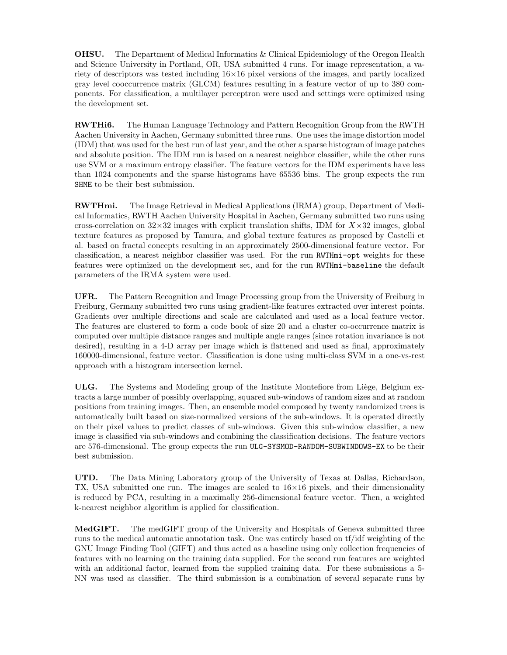OHSU. The Department of Medical Informatics & Clinical Epidemiology of the Oregon Health and Science University in Portland, OR, USA submitted 4 runs. For image representation, a variety of descriptors was tested including  $16\times16$  pixel versions of the images, and partly localized gray level cooccurrence matrix (GLCM) features resulting in a feature vector of up to 380 components. For classification, a multilayer perceptron were used and settings were optimized using the development set.

RWTHi6. The Human Language Technology and Pattern Recognition Group from the RWTH Aachen University in Aachen, Germany submitted three runs. One uses the image distortion model (IDM) that was used for the best run of last year, and the other a sparse histogram of image patches and absolute position. The IDM run is based on a nearest neighbor classifier, while the other runs use SVM or a maximum entropy classifier. The feature vectors for the IDM experiments have less than 1024 components and the sparse histograms have 65536 bins. The group expects the run SHME to be their best submission.

RWTHmi. The Image Retrieval in Medical Applications (IRMA) group, Department of Medical Informatics, RWTH Aachen University Hospital in Aachen, Germany submitted two runs using cross-correlation on  $32\times32$  images with explicit translation shifts, IDM for  $X\times32$  images, global texture features as proposed by Tamura, and global texture features as proposed by Castelli et al. based on fractal concepts resulting in an approximately 2500-dimensional feature vector. For classification, a nearest neighbor classifier was used. For the run RWTHmi-opt weights for these features were optimized on the development set, and for the run RWTHmi-baseline the default parameters of the IRMA system were used.

UFR. The Pattern Recognition and Image Processing group from the University of Freiburg in Freiburg, Germany submitted two runs using gradient-like features extracted over interest points. Gradients over multiple directions and scale are calculated and used as a local feature vector. The features are clustered to form a code book of size 20 and a cluster co-occurrence matrix is computed over multiple distance ranges and multiple angle ranges (since rotation invariance is not desired), resulting in a 4-D array per image which is flattened and used as final, approximately 160000-dimensional, feature vector. Classification is done using multi-class SVM in a one-vs-rest approach with a histogram intersection kernel.

ULG. The Systems and Modeling group of the Institute Montefiore from Liège, Belgium extracts a large number of possibly overlapping, squared sub-windows of random sizes and at random positions from training images. Then, an ensemble model composed by twenty randomized trees is automatically built based on size-normalized versions of the sub-windows. It is operated directly on their pixel values to predict classes of sub-windows. Given this sub-window classifier, a new image is classified via sub-windows and combining the classification decisions. The feature vectors are 576-dimensional. The group expects the run ULG-SYSMOD-RANDOM-SUBWINDOWS-EX to be their best submission.

UTD. The Data Mining Laboratory group of the University of Texas at Dallas, Richardson, TX, USA submitted one run. The images are scaled to  $16\times16$  pixels, and their dimensionality is reduced by PCA, resulting in a maximally 256-dimensional feature vector. Then, a weighted k-nearest neighbor algorithm is applied for classification.

MedGIFT. The medGIFT group of the University and Hospitals of Geneva submitted three runs to the medical automatic annotation task. One was entirely based on tf/idf weighting of the GNU Image Finding Tool (GIFT) and thus acted as a baseline using only collection frequencies of features with no learning on the training data supplied. For the second run features are weighted with an additional factor, learned from the supplied training data. For these submissions a 5- NN was used as classifier. The third submission is a combination of several separate runs by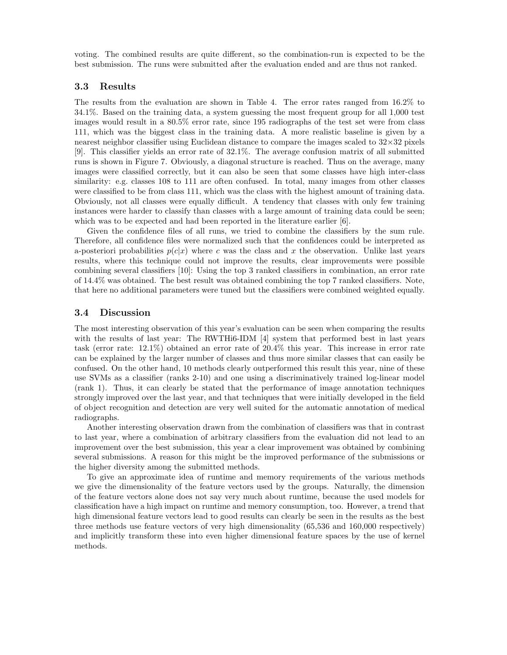voting. The combined results are quite different, so the combination-run is expected to be the best submission. The runs were submitted after the evaluation ended and are thus not ranked.

### 3.3 Results

The results from the evaluation are shown in Table 4. The error rates ranged from 16.2% to 34.1%. Based on the training data, a system guessing the most frequent group for all 1,000 test images would result in a 80.5% error rate, since 195 radiographs of the test set were from class 111, which was the biggest class in the training data. A more realistic baseline is given by a nearest neighbor classifier using Euclidean distance to compare the images scaled to  $32\times32$  pixels [9]. This classifier yields an error rate of 32.1%. The average confusion matrix of all submitted runs is shown in Figure 7. Obviously, a diagonal structure is reached. Thus on the average, many images were classified correctly, but it can also be seen that some classes have high inter-class similarity: e.g. classes 108 to 111 are often confused. In total, many images from other classes were classified to be from class 111, which was the class with the highest amount of training data. Obviously, not all classes were equally difficult. A tendency that classes with only few training instances were harder to classify than classes with a large amount of training data could be seen; which was to be expected and had been reported in the literature earlier [6].

Given the confidence files of all runs, we tried to combine the classifiers by the sum rule. Therefore, all confidence files were normalized such that the confidences could be interpreted as a-posteriori probabilities  $p(c|x)$  where c was the class and x the observation. Unlike last years results, where this technique could not improve the results, clear improvements were possible combining several classifiers [10]: Using the top 3 ranked classifiers in combination, an error rate of 14.4% was obtained. The best result was obtained combining the top 7 ranked classifiers. Note, that here no additional parameters were tuned but the classifiers were combined weighted equally.

#### 3.4 Discussion

The most interesting observation of this year's evaluation can be seen when comparing the results with the results of last year: The RWTHi6-IDM [4] system that performed best in last years task (error rate: 12.1%) obtained an error rate of 20.4% this year. This increase in error rate can be explained by the larger number of classes and thus more similar classes that can easily be confused. On the other hand, 10 methods clearly outperformed this result this year, nine of these use SVMs as a classifier (ranks 2-10) and one using a discriminatively trained log-linear model (rank 1). Thus, it can clearly be stated that the performance of image annotation techniques strongly improved over the last year, and that techniques that were initially developed in the field of object recognition and detection are very well suited for the automatic annotation of medical radiographs.

Another interesting observation drawn from the combination of classifiers was that in contrast to last year, where a combination of arbitrary classifiers from the evaluation did not lead to an improvement over the best submission, this year a clear improvement was obtained by combining several submissions. A reason for this might be the improved performance of the submissions or the higher diversity among the submitted methods.

To give an approximate idea of runtime and memory requirements of the various methods we give the dimensionality of the feature vectors used by the groups. Naturally, the dimension of the feature vectors alone does not say very much about runtime, because the used models for classification have a high impact on runtime and memory consumption, too. However, a trend that high dimensional feature vectors lead to good results can clearly be seen in the results as the best three methods use feature vectors of very high dimensionality (65,536 and 160,000 respectively) and implicitly transform these into even higher dimensional feature spaces by the use of kernel methods.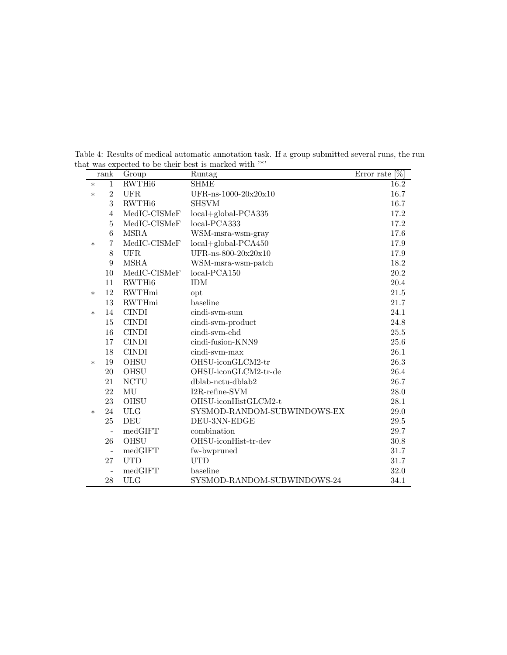Table 4: Results of medical automatic annotation task. If a group submitted several runs, the run that was expected to be their best is marked with  $^{\prime\ast\prime}$ 

|        | $\operatorname*{rank}% \mathcal{M}(n)$ | Group              | Runtag                      | $[\%]$<br>Error rate |
|--------|----------------------------------------|--------------------|-----------------------------|----------------------|
| $\ast$ | $\mathbf{1}$                           | RWTH <sub>i6</sub> | <b>SHME</b>                 | 16.2                 |
| $\ast$ | $\overline{2}$                         | UFR.               | UFR-ns-1000-20x20x10        | 16.7                 |
|        | 3                                      | RWTH <sub>i6</sub> | <b>SHSVM</b>                | 16.7                 |
|        | $\overline{4}$                         | MedIC-CISMeF       | $local + global-PCA335$     | 17.2                 |
|        | $\bf 5$                                | MedIC-CISMeF       | local-PCA333                | 17.2                 |
|        | 6                                      | <b>MSRA</b>        | WSM-msra-wsm-gray           | 17.6                 |
| $\ast$ | 7                                      | MedIC-CISMeF       | $local + global-PCA450$     | 17.9                 |
|        | 8                                      | UFR.               | UFR-ns-800-20x20x10         | 17.9                 |
|        | 9                                      | <b>MSRA</b>        | WSM-msra-wsm-patch          | 18.2                 |
|        | 10                                     | MedIC-CISMeF       | $local-PCA150$              | 20.2                 |
|        | 11                                     | RWTH <sub>i6</sub> | <b>IDM</b>                  | 20.4                 |
| $\ast$ | 12                                     | <b>RWTHmi</b>      | opt                         | 21.5                 |
|        | 13                                     | <b>RWTHmi</b>      | baseline                    | 21.7                 |
| $\ast$ | 14                                     | <b>CINDI</b>       | cindi-svm-sum               | 24.1                 |
|        | 15                                     | <b>CINDI</b>       | cindi-svm-product           | 24.8                 |
|        | 16                                     | <b>CINDI</b>       | cindi-svm-ehd               | 25.5                 |
|        | 17                                     | <b>CINDI</b>       | cindi-fusion-KNN9           | 25.6                 |
|        | 18                                     | <b>CINDI</b>       | cindi-svm-max               | 26.1                 |
| $\ast$ | 19                                     | <b>OHSU</b>        | OHSU-iconGLCM2-tr           | 26.3                 |
|        | 20                                     | OHSU               | OHSU-iconGLCM2-tr-de        | 26.4                 |
|        | 21                                     | <b>NCTU</b>        | dblab-nctu-dblab2           | 26.7                 |
|        | 22                                     | MU                 | I2R-refine-SVM              | $28.0\,$             |
|        | 23                                     | OHSU               | OHSU-iconHistGLCM2-t        | 28.1                 |
| $\ast$ | 24                                     | <b>ULG</b>         | SYSMOD-RANDOM-SUBWINDOWS-EX | 29.0                 |
|        | 25                                     | DEU                | DEU-3NN-EDGE                | 29.5                 |
|        | $\overline{a}$                         | medGIFT            | combination                 | 29.7                 |
|        | 26                                     | OHSU               | OHSU-iconHist-tr-dev        | 30.8                 |
|        | $\overline{a}$                         | medGIFT            | fw-bwpruned                 | 31.7                 |
|        | 27                                     | <b>UTD</b>         | <b>UTD</b>                  | 31.7                 |
|        |                                        | medGIFT            | baseline                    | 32.0                 |
|        | 28                                     | <b>ULG</b>         | SYSMOD-RANDOM-SUBWINDOWS-24 | 34.1                 |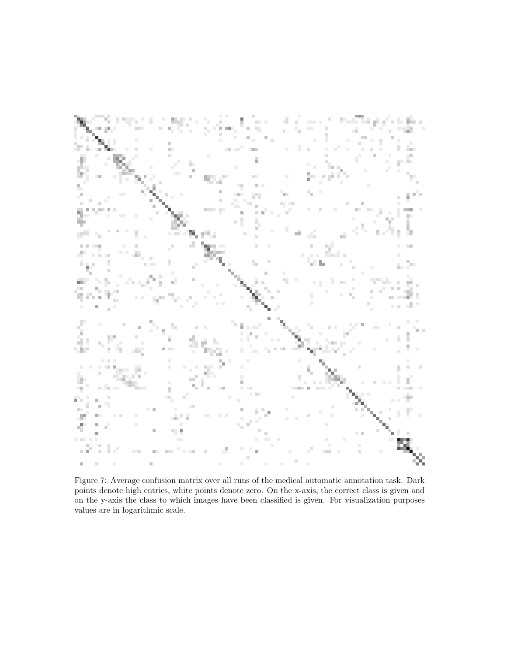

Figure 7: Average confusion matrix over all runs of the medical automatic annotation task. Dark points denote high entries, white points denote zero. On the x-axis, the correct class is given and on the y-axis the class to which images have been classified is given. For visualization purposes values are in logarithmic scale.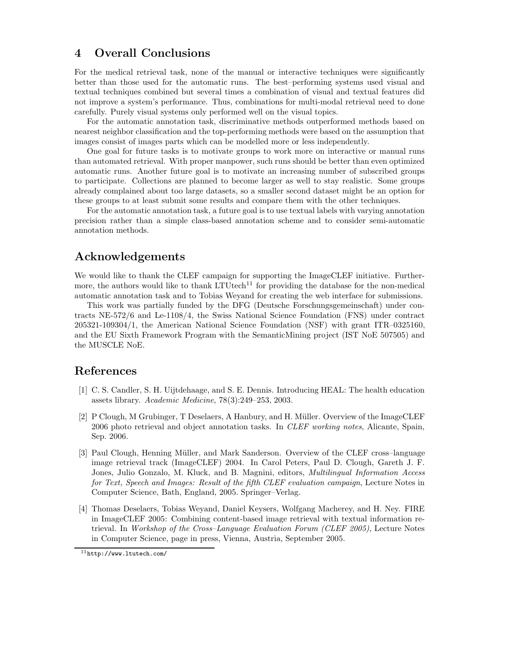# 4 Overall Conclusions

For the medical retrieval task, none of the manual or interactive techniques were significantly better than those used for the automatic runs. The best–performing systems used visual and textual techniques combined but several times a combination of visual and textual features did not improve a system's performance. Thus, combinations for multi-modal retrieval need to done carefully. Purely visual systems only performed well on the visual topics.

For the automatic annotation task, discriminative methods outperformed methods based on nearest neighbor classification and the top-performing methods were based on the assumption that images consist of images parts which can be modelled more or less independently.

One goal for future tasks is to motivate groups to work more on interactive or manual runs than automated retrieval. With proper manpower, such runs should be better than even optimized automatic runs. Another future goal is to motivate an increasing number of subscribed groups to participate. Collections are planned to become larger as well to stay realistic. Some groups already complained about too large datasets, so a smaller second dataset might be an option for these groups to at least submit some results and compare them with the other techniques.

For the automatic annotation task, a future goal is to use textual labels with varying annotation precision rather than a simple class-based annotation scheme and to consider semi-automatic annotation methods.

# Acknowledgements

We would like to thank the CLEF campaign for supporting the ImageCLEF initiative. Furthermore, the authors would like to thank LTU tech<sup>11</sup> for providing the database for the non-medical automatic annotation task and to Tobias Weyand for creating the web interface for submissions.

This work was partially funded by the DFG (Deutsche Forschungsgemeinschaft) under contracts NE-572/6 and Le-1108/4, the Swiss National Science Foundation (FNS) under contract 205321-109304/1, the American National Science Foundation (NSF) with grant ITR–0325160, and the EU Sixth Framework Program with the SemanticMining project (IST NoE 507505) and the MUSCLE NoE.

# References

- [1] C. S. Candler, S. H. Uijtdehaage, and S. E. Dennis. Introducing HEAL: The health education assets library. Academic Medicine, 78(3):249–253, 2003.
- [2] P Clough, M Grubinger, T Deselaers, A Hanbury, and H. Müller. Overview of the ImageCLEF 2006 photo retrieval and object annotation tasks. In CLEF working notes, Alicante, Spain, Sep. 2006.
- [3] Paul Clough, Henning Müller, and Mark Sanderson. Overview of the CLEF cross-language image retrieval track (ImageCLEF) 2004. In Carol Peters, Paul D. Clough, Gareth J. F. Jones, Julio Gonzalo, M. Kluck, and B. Magnini, editors, Multilingual Information Access for Text, Speech and Images: Result of the fifth CLEF evaluation campaign, Lecture Notes in Computer Science, Bath, England, 2005. Springer–Verlag.
- [4] Thomas Deselaers, Tobias Weyand, Daniel Keysers, Wolfgang Macherey, and H. Ney. FIRE in ImageCLEF 2005: Combining content-based image retrieval with textual information retrieval. In Workshop of the Cross–Language Evaluation Forum (CLEF 2005), Lecture Notes in Computer Science, page in press, Vienna, Austria, September 2005.

<sup>11</sup>http://www.ltutech.com/